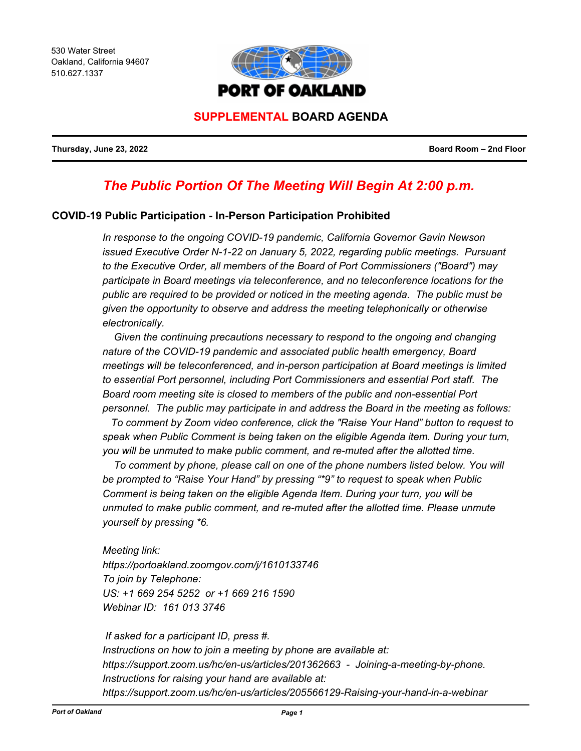530 Water Street Oakland, California 94607 510.627.1337



# **SUPPLEMENTAL BOARD AGENDA**

**Thursday, June 23, 2022 Board Room – 2nd Floor**

# *The Public Portion Of The Meeting Will Begin At 2:00 p.m.*

#### **COVID-19 Public Participation - In-Person Participation Prohibited**

*In response to the ongoing COVID-19 pandemic, California Governor Gavin Newson issued Executive Order N-1-22 on January 5, 2022, regarding public meetings. Pursuant to the Executive Order, all members of the Board of Port Commissioners ("Board") may participate in Board meetings via teleconference, and no teleconference locations for the public are required to be provided or noticed in the meeting agenda. The public must be given the opportunity to observe and address the meeting telephonically or otherwise electronically.* 

 *Given the continuing precautions necessary to respond to the ongoing and changing nature of the COVID-19 pandemic and associated public health emergency, Board meetings will be teleconferenced, and in-person participation at Board meetings is limited to essential Port personnel, including Port Commissioners and essential Port staff. The Board room meeting site is closed to members of the public and non-essential Port personnel. The public may participate in and address the Board in the meeting as follows:*

 *To comment by Zoom video conference, click the "Raise Your Hand" button to request to speak when Public Comment is being taken on the eligible Agenda item. During your turn, you will be unmuted to make public comment, and re-muted after the allotted time.*

To comment by phone, please call on one of the phone numbers listed below. You will *be prompted to "Raise Your Hand" by pressing "\*9" to request to speak when Public Comment is being taken on the eligible Agenda Item. During your turn, you will be unmuted to make public comment, and re-muted after the allotted time. Please unmute yourself by pressing \*6.*

*Meeting link: https://portoakland.zoomgov.com/j/1610133746 To join by Telephone: US: +1 669 254 5252 or +1 669 216 1590 Webinar ID: 161 013 3746*

 *If asked for a participant ID, press #. Instructions on how to join a meeting by phone are available at: https://support.zoom.us/hc/en-us/articles/201362663 - Joining-a-meeting-by-phone. Instructions for raising your hand are available at: https://support.zoom.us/hc/en-us/articles/205566129-Raising-your-hand-in-a-webinar*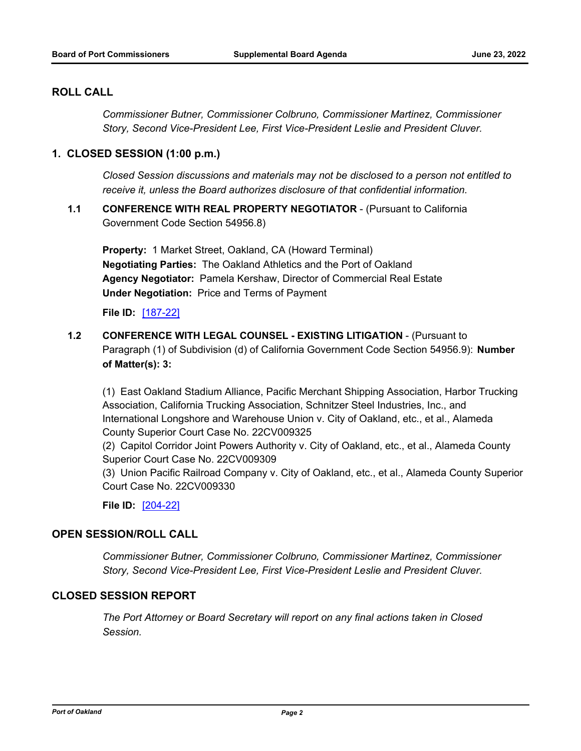## **ROLL CALL**

*Commissioner Butner, Commissioner Colbruno, Commissioner Martinez, Commissioner Story, Second Vice-President Lee, First Vice-President Leslie and President Cluver.*

#### **1. CLOSED SESSION (1:00 p.m.)**

*Closed Session discussions and materials may not be disclosed to a person not entitled to receive it, unless the Board authorizes disclosure of that confidential information.*

**1.1 CONFERENCE WITH REAL PROPERTY NEGOTIATOR** - (Pursuant to California Government Code Section 54956.8)

**Property:** 1 Market Street, Oakland, CA (Howard Terminal) **Negotiating Parties:** The Oakland Athletics and the Port of Oakland **Agency Negotiator:** Pamela Kershaw, Director of Commercial Real Estate **Under Negotiation:** Price and Terms of Payment

**File ID:** [\[187-22\]](http://portofoakland.legistar.com/gateway.aspx?m=l&id=/matter.aspx?key=4549)

**1.2 CONFERENCE WITH LEGAL COUNSEL - EXISTING LITIGATION** - (Pursuant to Paragraph (1) of Subdivision (d) of California Government Code Section 54956.9): **Number of Matter(s): 3:** 

(1) East Oakland Stadium Alliance, Pacific Merchant Shipping Association, Harbor Trucking Association, California Trucking Association, Schnitzer Steel Industries, Inc., and International Longshore and Warehouse Union v. City of Oakland, etc., et al., Alameda County Superior Court Case No. 22CV009325

(2) Capitol Corridor Joint Powers Authority v. City of Oakland, etc., et al., Alameda County Superior Court Case No. 22CV009309

(3) Union Pacific Railroad Company v. City of Oakland, etc., et al., Alameda County Superior Court Case No. 22CV009330

**File ID:** [\[204-22\]](http://portofoakland.legistar.com/gateway.aspx?m=l&id=/matter.aspx?key=4566)

#### **OPEN SESSION/ROLL CALL**

*Commissioner Butner, Commissioner Colbruno, Commissioner Martinez, Commissioner Story, Second Vice-President Lee, First Vice-President Leslie and President Cluver.*

#### **CLOSED SESSION REPORT**

*The Port Attorney or Board Secretary will report on any final actions taken in Closed Session.*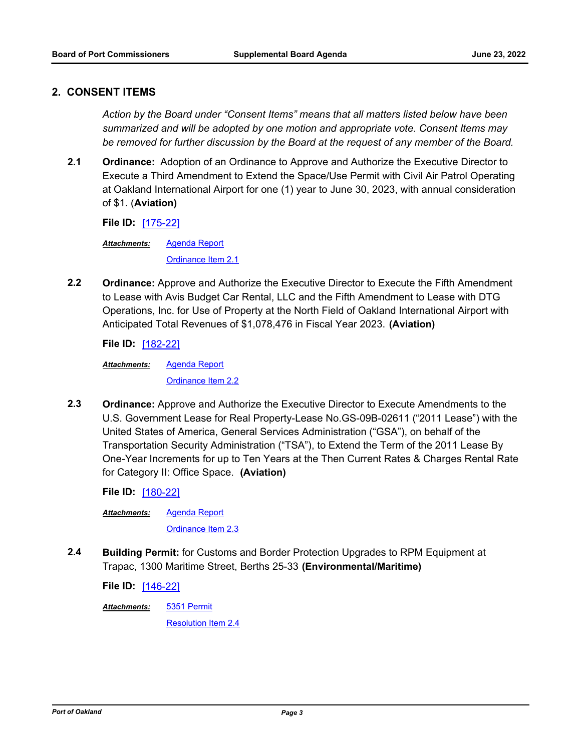#### **2. CONSENT ITEMS**

*Action by the Board under "Consent Items" means that all matters listed below have been summarized and will be adopted by one motion and appropriate vote. Consent Items may be removed for further discussion by the Board at the request of any member of the Board.*

**2.1 Ordinance:** Adoption of an Ordinance to Approve and Authorize the Executive Director to Execute a Third Amendment to Extend the Space/Use Permit with Civil Air Patrol Operating at Oakland International Airport for one (1) year to June 30, 2023, with annual consideration of \$1. (**Aviation)**

**File ID:** [\[175-22\]](http://portofoakland.legistar.com/gateway.aspx?m=l&id=/matter.aspx?key=4537)

[Agenda Report](http://portofoakland.legistar.com/gateway.aspx?M=F&ID=dce56e72-851f-4fc7-8a44-969817c92a62.docx) [Ordinance Item 2.1](http://portofoakland.legistar.com/gateway.aspx?M=F&ID=905d284e-8814-415f-acfe-8112edeaba47.pdf) *Attachments:*

**2.2 Ordinance:** Approve and Authorize the Executive Director to Execute the Fifth Amendment to Lease with Avis Budget Car Rental, LLC and the Fifth Amendment to Lease with DTG Operations, Inc. for Use of Property at the North Field of Oakland International Airport with Anticipated Total Revenues of \$1,078,476 in Fiscal Year 2023. **(Aviation)**

**File ID:** [\[182-22\]](http://portofoakland.legistar.com/gateway.aspx?m=l&id=/matter.aspx?key=4544)

[Agenda Report](http://portofoakland.legistar.com/gateway.aspx?M=F&ID=37534b76-215c-4e9a-9b66-abf289afdb6b.docx) [Ordinance Item 2.2](http://portofoakland.legistar.com/gateway.aspx?M=F&ID=2c28e4dc-0cca-47ff-bb9d-e5cbde7cc7ee.pdf) *Attachments:*

**2.3 Ordinance:** Approve and Authorize the Executive Director to Execute Amendments to the U.S. Government Lease for Real Property-Lease No.GS-09B-02611 ("2011 Lease") with the United States of America, General Services Administration ("GSA"), on behalf of the Transportation Security Administration ("TSA"), to Extend the Term of the 2011 Lease By One-Year Increments for up to Ten Years at the Then Current Rates & Charges Rental Rate for Category II: Office Space. **(Aviation)**

**File ID:** [\[180-22\]](http://portofoakland.legistar.com/gateway.aspx?m=l&id=/matter.aspx?key=4542)

[Agenda Report](http://portofoakland.legistar.com/gateway.aspx?M=F&ID=c174ea00-1f9b-4093-88e8-2f0f45fffa1e.docx) *Attachments:*

[Ordinance Item 2.3](http://portofoakland.legistar.com/gateway.aspx?M=F&ID=5e44adf9-5430-45d7-8da5-1d898c009a79.pdf)

**2.4 Building Permit:** for Customs and Border Protection Upgrades to RPM Equipment at Trapac, 1300 Maritime Street, Berths 25-33 **(Environmental/Maritime)**

**File ID:** [\[146-22\]](http://portofoakland.legistar.com/gateway.aspx?m=l&id=/matter.aspx?key=4508)

[5351 Permit](http://portofoakland.legistar.com/gateway.aspx?M=F&ID=6deed8ca-170c-4164-9770-9db2a18184af.pdf) *Attachments:*

[Resolution Item 2.4](http://portofoakland.legistar.com/gateway.aspx?M=F&ID=529f6ad8-4a98-483b-b431-47ce3a6e1683.pdf)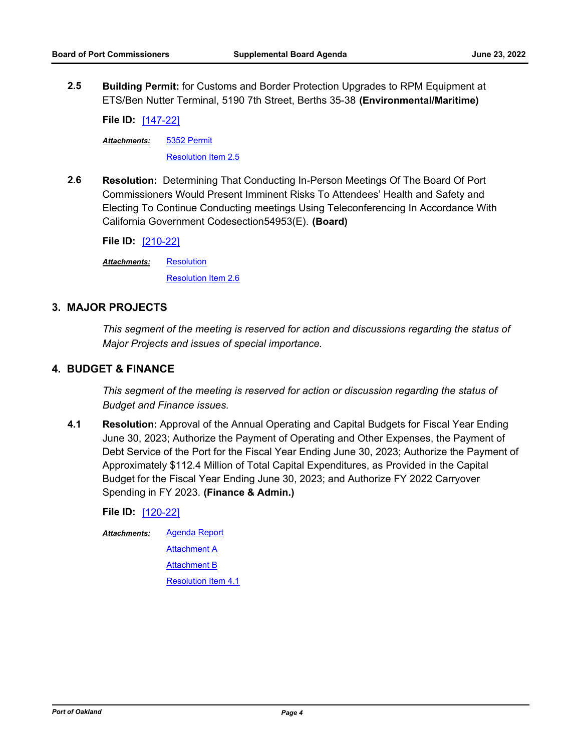**2.5 Building Permit:** for Customs and Border Protection Upgrades to RPM Equipment at ETS/Ben Nutter Terminal, 5190 7th Street, Berths 35-38 **(Environmental/Maritime)**

**File ID:** [\[147-22\]](http://portofoakland.legistar.com/gateway.aspx?m=l&id=/matter.aspx?key=4509)

[5352 Permit](http://portofoakland.legistar.com/gateway.aspx?M=F&ID=7a21e054-f610-479a-a6fe-4c53a63191f0.pdf) *Attachments:*

[Resolution Item 2.5](http://portofoakland.legistar.com/gateway.aspx?M=F&ID=5c8fd388-8496-412d-b79f-b4741ce94b30.pdf)

**2.6 Resolution:** Determining That Conducting In-Person Meetings Of The Board Of Port Commissioners Would Present Imminent Risks To Attendees' Health and Safety and Electing To Continue Conducting meetings Using Teleconferencing In Accordance With California Government Codesection54953(E). **(Board)**

**File ID:** [\[210-22\]](http://portofoakland.legistar.com/gateway.aspx?m=l&id=/matter.aspx?key=4572)

**[Resolution](http://portofoakland.legistar.com/gateway.aspx?M=F&ID=d07f3634-7669-4891-a8f9-7cf2d2dfdb43.pdf)** *Attachments:*

[Resolution Item 2.6](http://portofoakland.legistar.com/gateway.aspx?M=F&ID=f374b0d9-d810-4f60-9521-58abaee1d023.pdf)

#### **3. MAJOR PROJECTS**

*This segment of the meeting is reserved for action and discussions regarding the status of Major Projects and issues of special importance.*

#### **4. BUDGET & FINANCE**

*This segment of the meeting is reserved for action or discussion regarding the status of Budget and Finance issues.*

**4.1 Resolution:** Approval of the Annual Operating and Capital Budgets for Fiscal Year Ending June 30, 2023; Authorize the Payment of Operating and Other Expenses, the Payment of Debt Service of the Port for the Fiscal Year Ending June 30, 2023; Authorize the Payment of Approximately \$112.4 Million of Total Capital Expenditures, as Provided in the Capital Budget for the Fiscal Year Ending June 30, 2023; and Authorize FY 2022 Carryover Spending in FY 2023. **(Finance & Admin.)**

**File ID:** [\[120-22\]](http://portofoakland.legistar.com/gateway.aspx?m=l&id=/matter.aspx?key=4482)

[Agenda Report](http://portofoakland.legistar.com/gateway.aspx?M=F&ID=e6d679c0-2210-4437-87ef-1608509f1761.docx) [Attachment A](http://portofoakland.legistar.com/gateway.aspx?M=F&ID=3deaa35c-1cce-4f59-a5da-ff556438cc80.pdf) [Attachment B](http://portofoakland.legistar.com/gateway.aspx?M=F&ID=fa99f946-f91d-403b-bf0b-47351cd7512c.pdf) [Resolution Item 4.1](http://portofoakland.legistar.com/gateway.aspx?M=F&ID=a17cb0b0-6ba8-47e3-be4d-ca3bb4a940d4.pdf) *Attachments:*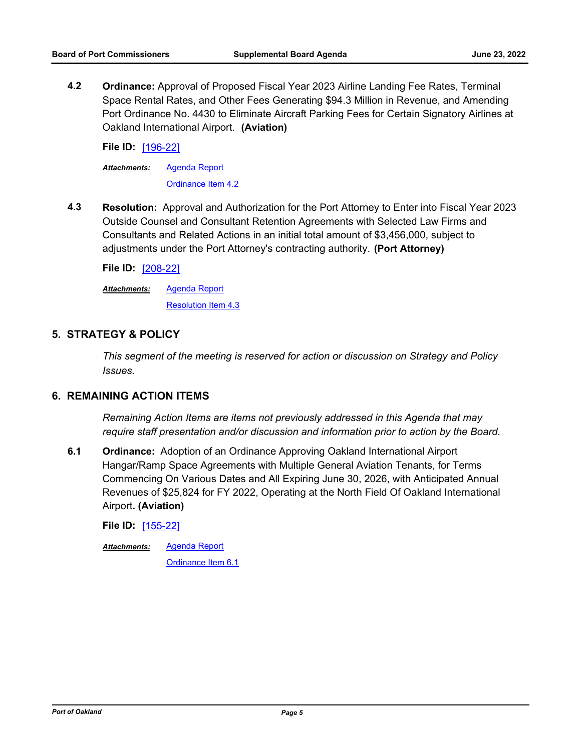**4.2 Ordinance:** Approval of Proposed Fiscal Year 2023 Airline Landing Fee Rates, Terminal Space Rental Rates, and Other Fees Generating \$94.3 Million in Revenue, and Amending Port Ordinance No. 4430 to Eliminate Aircraft Parking Fees for Certain Signatory Airlines at Oakland International Airport. **(Aviation)**

**File ID:** [\[196-22\]](http://portofoakland.legistar.com/gateway.aspx?m=l&id=/matter.aspx?key=4558)

[Agenda Report](http://portofoakland.legistar.com/gateway.aspx?M=F&ID=ca1350d0-4b42-44e9-ac7b-31c58e102e41.docx) *Attachments:*

[Ordinance Item 4.2](http://portofoakland.legistar.com/gateway.aspx?M=F&ID=9a096391-dcd7-4945-9d32-04e722e75e6c.pdf)

**4.3 Resolution:** Approval and Authorization for the Port Attorney to Enter into Fiscal Year 2023 Outside Counsel and Consultant Retention Agreements with Selected Law Firms and Consultants and Related Actions in an initial total amount of \$3,456,000, subject to adjustments under the Port Attorney's contracting authority. **(Port Attorney)**

**File ID:** [\[208-22\]](http://portofoakland.legistar.com/gateway.aspx?m=l&id=/matter.aspx?key=4570)

[Agenda Report](http://portofoakland.legistar.com/gateway.aspx?M=F&ID=fdda787b-eb85-417b-ae0d-b733a6bf655f.pdf) *Attachments:*

[Resolution Item 4.3](http://portofoakland.legistar.com/gateway.aspx?M=F&ID=71fa5168-3335-48ba-be96-eb0cebbcab2c.pdf)

## **5. STRATEGY & POLICY**

*This segment of the meeting is reserved for action or discussion on Strategy and Policy Issues.*

#### **6. REMAINING ACTION ITEMS**

*Remaining Action Items are items not previously addressed in this Agenda that may require staff presentation and/or discussion and information prior to action by the Board.*

**6.1 Ordinance:** Adoption of an Ordinance Approving Oakland International Airport Hangar/Ramp Space Agreements with Multiple General Aviation Tenants, for Terms Commencing On Various Dates and All Expiring June 30, 2026, with Anticipated Annual Revenues of \$25,824 for FY 2022, Operating at the North Field Of Oakland International Airport**. (Aviation)**

**File ID:** [\[155-22\]](http://portofoakland.legistar.com/gateway.aspx?m=l&id=/matter.aspx?key=4517)

[Agenda Report](http://portofoakland.legistar.com/gateway.aspx?M=F&ID=d45f9b6e-f090-4b33-96a0-df98d527df69.docx) *Attachments:*

[Ordinance Item 6.1](http://portofoakland.legistar.com/gateway.aspx?M=F&ID=e19e7c44-3609-4f46-8dbc-354dbf7a28a5.pdf)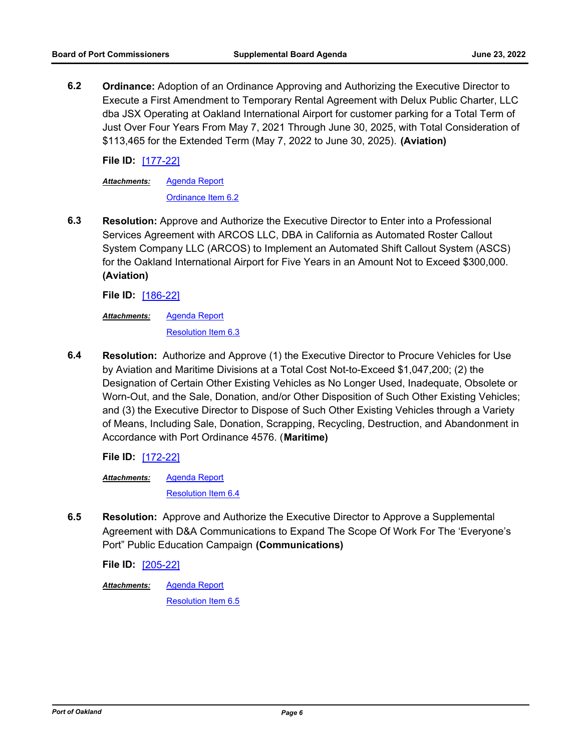**6.2 Ordinance:** Adoption of an Ordinance Approving and Authorizing the Executive Director to Execute a First Amendment to Temporary Rental Agreement with Delux Public Charter, LLC dba JSX Operating at Oakland International Airport for customer parking for a Total Term of Just Over Four Years From May 7, 2021 Through June 30, 2025, with Total Consideration of \$113,465 for the Extended Term (May 7, 2022 to June 30, 2025). **(Aviation)**

**File ID:** [\[177-22\]](http://portofoakland.legistar.com/gateway.aspx?m=l&id=/matter.aspx?key=4539)

[Agenda Report](http://portofoakland.legistar.com/gateway.aspx?M=F&ID=60636c17-f0b6-4055-970b-b2517afb1efb.docx) *Attachments:*

[Ordinance Item 6.2](http://portofoakland.legistar.com/gateway.aspx?M=F&ID=d9a17039-3f9e-43b6-9b6f-3c3c2b2e22fb.pdf)

**6.3 Resolution:** Approve and Authorize the Executive Director to Enter into a Professional Services Agreement with ARCOS LLC, DBA in California as Automated Roster Callout System Company LLC (ARCOS) to Implement an Automated Shift Callout System (ASCS) for the Oakland International Airport for Five Years in an Amount Not to Exceed \$300,000. **(Aviation)**

**File ID:** [\[186-22\]](http://portofoakland.legistar.com/gateway.aspx?m=l&id=/matter.aspx?key=4548)

[Agenda Report](http://portofoakland.legistar.com/gateway.aspx?M=F&ID=6765fb86-f099-44e5-a750-23c70b25043f.docx) [Resolution Item 6.3](http://portofoakland.legistar.com/gateway.aspx?M=F&ID=731d280c-6d8c-4521-a3b3-298121cd28cc.pdf) *Attachments:*

**6.4 Resolution:** Authorize and Approve (1) the Executive Director to Procure Vehicles for Use by Aviation and Maritime Divisions at a Total Cost Not-to-Exceed \$1,047,200; (2) the Designation of Certain Other Existing Vehicles as No Longer Used, Inadequate, Obsolete or Worn-Out, and the Sale, Donation, and/or Other Disposition of Such Other Existing Vehicles; and (3) the Executive Director to Dispose of Such Other Existing Vehicles through a Variety of Means, Including Sale, Donation, Scrapping, Recycling, Destruction, and Abandonment in Accordance with Port Ordinance 4576. (**Maritime)**

**File ID:** [\[172-22\]](http://portofoakland.legistar.com/gateway.aspx?m=l&id=/matter.aspx?key=4534)

[Agenda Report](http://portofoakland.legistar.com/gateway.aspx?M=F&ID=a5b244d6-6cc1-4746-a51a-0cdaa96974d3.docx) [Resolution Item 6.4](http://portofoakland.legistar.com/gateway.aspx?M=F&ID=02ff429f-3e82-4900-be03-1d7072858e2d.pdf) *Attachments:*

**6.5 Resolution:** Approve and Authorize the Executive Director to Approve a Supplemental Agreement with D&A Communications to Expand The Scope Of Work For The 'Everyone's Port" Public Education Campaign **(Communications)**

**File ID:** [\[205-22\]](http://portofoakland.legistar.com/gateway.aspx?m=l&id=/matter.aspx?key=4567)

[Agenda Report](http://portofoakland.legistar.com/gateway.aspx?M=F&ID=96db322a-e385-42ec-ba5a-35ec8f0080b8.docx) *Attachments:*

[Resolution Item 6.5](http://portofoakland.legistar.com/gateway.aspx?M=F&ID=91893901-49ca-4744-9125-577d7e01e0ed.pdf)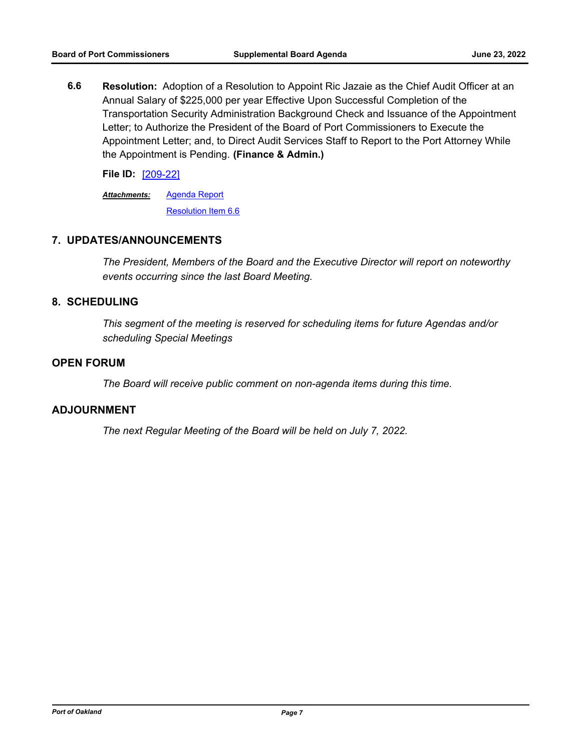**6.6 Resolution:** Adoption of a Resolution to Appoint Ric Jazaie as the Chief Audit Officer at an Annual Salary of \$225,000 per year Effective Upon Successful Completion of the Transportation Security Administration Background Check and Issuance of the Appointment Letter; to Authorize the President of the Board of Port Commissioners to Execute the Appointment Letter; and, to Direct Audit Services Staff to Report to the Port Attorney While the Appointment is Pending. **(Finance & Admin.)**

**File ID:** [\[209-22\]](http://portofoakland.legistar.com/gateway.aspx?m=l&id=/matter.aspx?key=4571)

[Agenda Report](http://portofoakland.legistar.com/gateway.aspx?M=F&ID=21071f77-b6ca-44e2-acc9-17e6db58764e.docx) *Attachments:*

[Resolution Item 6.6](http://portofoakland.legistar.com/gateway.aspx?M=F&ID=7c35f160-0735-4dfa-b203-9c0ad78a132a.pdf)

### **7. UPDATES/ANNOUNCEMENTS**

*The President, Members of the Board and the Executive Director will report on noteworthy events occurring since the last Board Meeting.*

#### **8. SCHEDULING**

*This segment of the meeting is reserved for scheduling items for future Agendas and/or scheduling Special Meetings*

#### **OPEN FORUM**

*The Board will receive public comment on non-agenda items during this time.*

#### **ADJOURNMENT**

*The next Regular Meeting of the Board will be held on July 7, 2022.*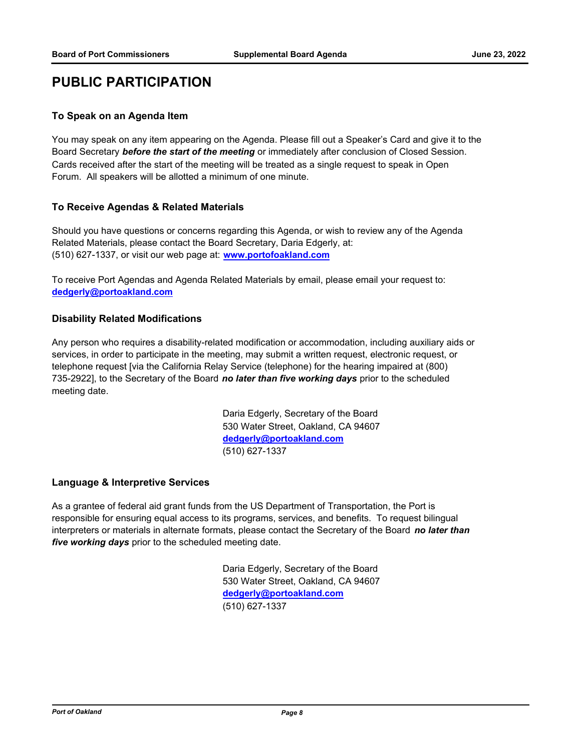# **PUBLIC PARTICIPATION**

#### **To Speak on an Agenda Item**

You may speak on any item appearing on the Agenda. Please fill out a Speaker's Card and give it to the Board Secretary *before the start of the meeting* or immediately after conclusion of Closed Session. Cards received after the start of the meeting will be treated as a single request to speak in Open Forum. All speakers will be allotted a minimum of one minute.

#### **To Receive Agendas & Related Materials**

Should you have questions or concerns regarding this Agenda, or wish to review any of the Agenda Related Materials, please contact the Board Secretary, Daria Edgerly, at: (510) 627-1337, or visit our web page at: **www.portofoakland.com**

To receive Port Agendas and Agenda Related Materials by email, please email your request to: **dedgerly@portoakland.com**

#### **Disability Related Modifications**

Any person who requires a disability-related modification or accommodation, including auxiliary aids or services, in order to participate in the meeting, may submit a written request, electronic request, or telephone request [via the California Relay Service (telephone) for the hearing impaired at (800) 735-2922], to the Secretary of the Board *no later than five working days* prior to the scheduled meeting date.

> Daria Edgerly, Secretary of the Board 530 Water Street, Oakland, CA 94607 **dedgerly@portoakland.com** (510) 627-1337

#### **Language & Interpretive Services**

As a grantee of federal aid grant funds from the US Department of Transportation, the Port is responsible for ensuring equal access to its programs, services, and benefits. To request bilingual interpreters or materials in alternate formats, please contact the Secretary of the Board *no later than five working days* prior to the scheduled meeting date.

> Daria Edgerly, Secretary of the Board 530 Water Street, Oakland, CA 94607 **dedgerly@portoakland.com** (510) 627-1337